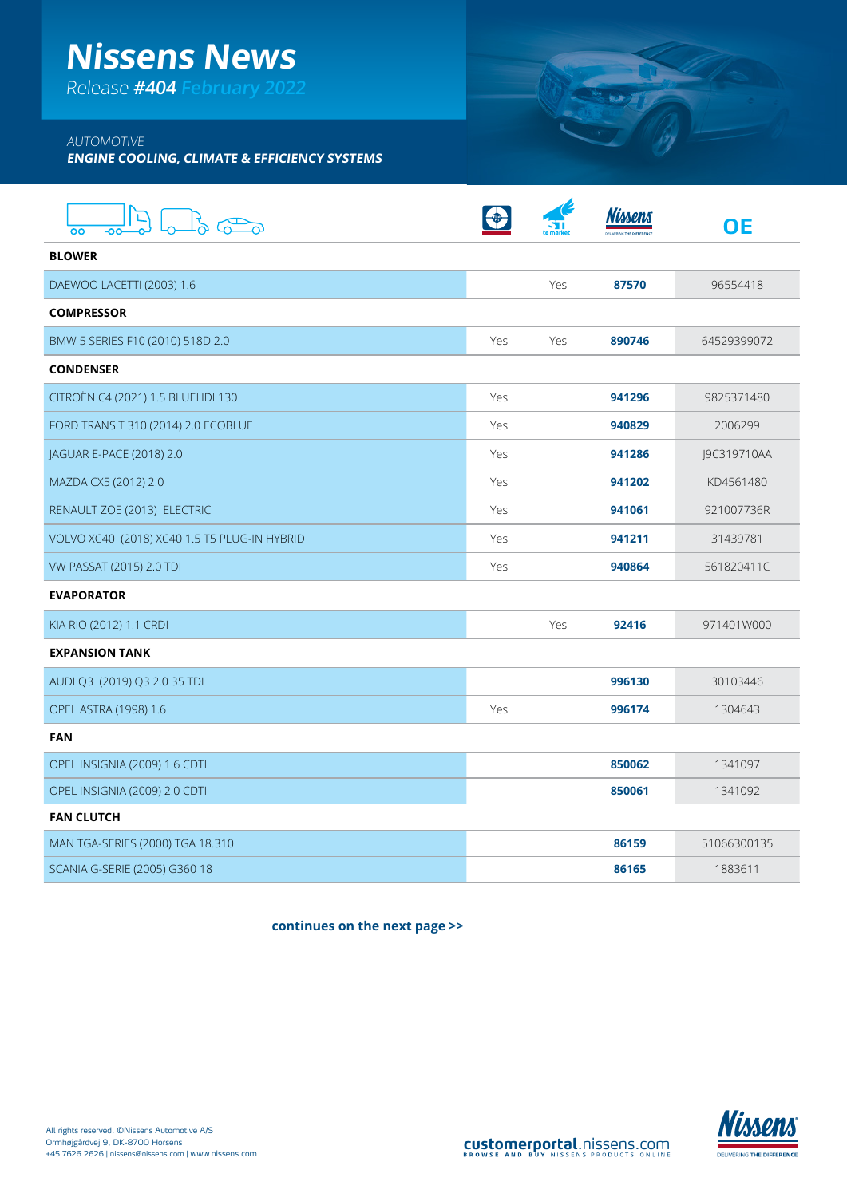# **Nissens News**

Release **#404 February 2022**

## AUTOMOTIVE

**ENGINE COOLING, CLIMATE & EFFICIENCY SYSTEMS**

| o Bo                                         |     |     |        | <b>OE</b>   |
|----------------------------------------------|-----|-----|--------|-------------|
| <b>BLOWER</b>                                |     |     |        |             |
| DAEWOO LACETTI (2003) 1.6                    |     | Yes | 87570  | 96554418    |
| <b>COMPRESSOR</b>                            |     |     |        |             |
| BMW 5 SERIES F10 (2010) 518D 2.0             | Yes | Yes | 890746 | 64529399072 |
| <b>CONDENSER</b>                             |     |     |        |             |
| CITROËN C4 (2021) 1.5 BLUEHDI 130            | Yes |     | 941296 | 9825371480  |
| FORD TRANSIT 310 (2014) 2.0 ECOBLUE          | Yes |     | 940829 | 2006299     |
| JAGUAR E-PACE (2018) 2.0                     | Yes |     | 941286 | J9C319710AA |
| MAZDA CX5 (2012) 2.0                         | Yes |     | 941202 | KD4561480   |
| RENAULT ZOE (2013) ELECTRIC                  | Yes |     | 941061 | 921007736R  |
| VOLVO XC40 (2018) XC40 1.5 T5 PLUG-IN HYBRID | Yes |     | 941211 | 31439781    |
| VW PASSAT (2015) 2.0 TDI                     | Yes |     | 940864 | 561820411C  |
| <b>EVAPORATOR</b>                            |     |     |        |             |
| KIA RIO (2012) 1.1 CRDI                      |     | Yes | 92416  | 971401W000  |
| <b>EXPANSION TANK</b>                        |     |     |        |             |
| AUDI Q3 (2019) Q3 2.0 35 TDI                 |     |     | 996130 | 30103446    |
| OPEL ASTRA (1998) 1.6                        | Yes |     | 996174 | 1304643     |
| <b>FAN</b>                                   |     |     |        |             |
| OPEL INSIGNIA (2009) 1.6 CDTI                |     |     | 850062 | 1341097     |
| OPEL INSIGNIA (2009) 2.0 CDTI                |     |     | 850061 | 1341092     |
| <b>FAN CLUTCH</b>                            |     |     |        |             |
| MAN TGA-SERIES (2000) TGA 18.310             |     |     | 86159  | 51066300135 |
| SCANIA G-SERIE (2005) G360 18                |     |     | 86165  | 1883611     |

**continues on the next page >>**

SUIT